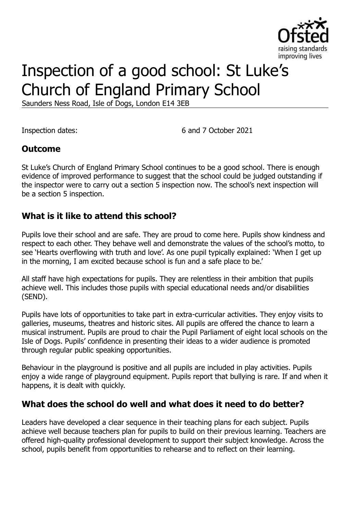

# Inspection of a good school: St Luke's Church of England Primary School

Saunders Ness Road, Isle of Dogs, London E14 3EB

Inspection dates: 6 and 7 October 2021

### **Outcome**

St Luke's Church of England Primary School continues to be a good school. There is enough evidence of improved performance to suggest that the school could be judged outstanding if the inspector were to carry out a section 5 inspection now. The school's next inspection will be a section 5 inspection.

### **What is it like to attend this school?**

Pupils love their school and are safe. They are proud to come here. Pupils show kindness and respect to each other. They behave well and demonstrate the values of the school's motto, to see 'Hearts overflowing with truth and love'. As one pupil typically explained: 'When I get up in the morning, I am excited because school is fun and a safe place to be.'

All staff have high expectations for pupils. They are relentless in their ambition that pupils achieve well. This includes those pupils with special educational needs and/or disabilities (SEND).

Pupils have lots of opportunities to take part in extra-curricular activities. They enjoy visits to galleries, museums, theatres and historic sites. All pupils are offered the chance to learn a musical instrument. Pupils are proud to chair the Pupil Parliament of eight local schools on the Isle of Dogs. Pupils' confidence in presenting their ideas to a wider audience is promoted through regular public speaking opportunities.

Behaviour in the playground is positive and all pupils are included in play activities. Pupils enjoy a wide range of playground equipment. Pupils report that bullying is rare. If and when it happens, it is dealt with quickly.

### **What does the school do well and what does it need to do better?**

Leaders have developed a clear sequence in their teaching plans for each subject. Pupils achieve well because teachers plan for pupils to build on their previous learning. Teachers are offered high-quality professional development to support their subject knowledge. Across the school, pupils benefit from opportunities to rehearse and to reflect on their learning.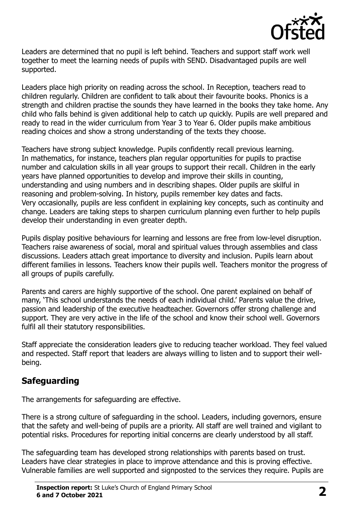

Leaders are determined that no pupil is left behind. Teachers and support staff work well together to meet the learning needs of pupils with SEND. Disadvantaged pupils are well supported.

Leaders place high priority on reading across the school. In Reception, teachers read to children regularly. Children are confident to talk about their favourite books. Phonics is a strength and children practise the sounds they have learned in the books they take home. Any child who falls behind is given additional help to catch up quickly. Pupils are well prepared and ready to read in the wider curriculum from Year 3 to Year 6. Older pupils make ambitious reading choices and show a strong understanding of the texts they choose.

Teachers have strong subject knowledge. Pupils confidently recall previous learning. In mathematics, for instance, teachers plan regular opportunities for pupils to practise number and calculation skills in all year groups to support their recall. Children in the early years have planned opportunities to develop and improve their skills in counting, understanding and using numbers and in describing shapes. Older pupils are skilful in reasoning and problem-solving. In history, pupils remember key dates and facts. Very occasionally, pupils are less confident in explaining key concepts, such as continuity and change. Leaders are taking steps to sharpen curriculum planning even further to help pupils develop their understanding in even greater depth.

Pupils display positive behaviours for learning and lessons are free from low-level disruption. Teachers raise awareness of social, moral and spiritual values through assemblies and class discussions. Leaders attach great importance to diversity and inclusion. Pupils learn about different families in lessons. Teachers know their pupils well. Teachers monitor the progress of all groups of pupils carefully.

Parents and carers are highly supportive of the school. One parent explained on behalf of many, 'This school understands the needs of each individual child.' Parents value the drive, passion and leadership of the executive headteacher. Governors offer strong challenge and support. They are very active in the life of the school and know their school well. Governors fulfil all their statutory responsibilities.

Staff appreciate the consideration leaders give to reducing teacher workload. They feel valued and respected. Staff report that leaders are always willing to listen and to support their wellbeing.

## **Safeguarding**

The arrangements for safeguarding are effective.

There is a strong culture of safeguarding in the school. Leaders, including governors, ensure that the safety and well-being of pupils are a priority. All staff are well trained and vigilant to potential risks. Procedures for reporting initial concerns are clearly understood by all staff.

The safeguarding team has developed strong relationships with parents based on trust. Leaders have clear strategies in place to improve attendance and this is proving effective. Vulnerable families are well supported and signposted to the services they require. Pupils are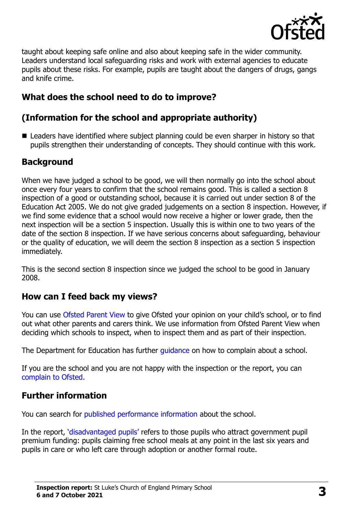

taught about keeping safe online and also about keeping safe in the wider community. Leaders understand local safeguarding risks and work with external agencies to educate pupils about these risks. For example, pupils are taught about the dangers of drugs, gangs and knife crime.

## **What does the school need to do to improve?**

## **(Information for the school and appropriate authority)**

■ Leaders have identified where subject planning could be even sharper in history so that pupils strengthen their understanding of concepts. They should continue with this work.

## **Background**

When we have judged a school to be good, we will then normally go into the school about once every four years to confirm that the school remains good. This is called a section 8 inspection of a good or outstanding school, because it is carried out under section 8 of the Education Act 2005. We do not give graded judgements on a section 8 inspection. However, if we find some evidence that a school would now receive a higher or lower grade, then the next inspection will be a section 5 inspection. Usually this is within one to two years of the date of the section 8 inspection. If we have serious concerns about safeguarding, behaviour or the quality of education, we will deem the section 8 inspection as a section 5 inspection immediately.

This is the second section 8 inspection since we judged the school to be good in January 2008.

## **How can I feed back my views?**

You can use [Ofsted Parent View](https://parentview.ofsted.gov.uk/) to give Ofsted your opinion on your child's school, or to find out what other parents and carers think. We use information from Ofsted Parent View when deciding which schools to inspect, when to inspect them and as part of their inspection.

The Department for Education has further quidance on how to complain about a school.

If you are the school and you are not happy with the inspection or the report, you can [complain to Ofsted.](https://www.gov.uk/complain-ofsted-report)

## **Further information**

You can search for [published performance information](http://www.compare-school-performance.service.gov.uk/) about the school.

In the report, '[disadvantaged pupils](http://www.gov.uk/guidance/pupil-premium-information-for-schools-and-alternative-provision-settings)' refers to those pupils who attract government pupil premium funding: pupils claiming free school meals at any point in the last six years and pupils in care or who left care through adoption or another formal route.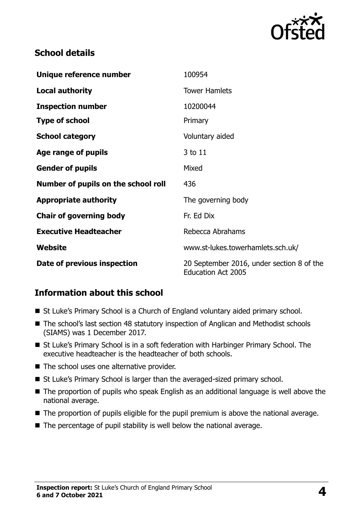

## **School details**

| Unique reference number             | 100954                                                                 |
|-------------------------------------|------------------------------------------------------------------------|
| <b>Local authority</b>              | <b>Tower Hamlets</b>                                                   |
| <b>Inspection number</b>            | 10200044                                                               |
| <b>Type of school</b>               | Primary                                                                |
| <b>School category</b>              | Voluntary aided                                                        |
| Age range of pupils                 | 3 to 11                                                                |
| <b>Gender of pupils</b>             | Mixed                                                                  |
| Number of pupils on the school roll | 436                                                                    |
| <b>Appropriate authority</b>        | The governing body                                                     |
| <b>Chair of governing body</b>      | Fr. Ed Dix                                                             |
| <b>Executive Headteacher</b>        | Rebecca Abrahams                                                       |
| Website                             | www.st-lukes.towerhamlets.sch.uk/                                      |
| Date of previous inspection         | 20 September 2016, under section 8 of the<br><b>Education Act 2005</b> |

### **Information about this school**

- St Luke's Primary School is a Church of England voluntary aided primary school.
- The school's last section 48 statutory inspection of Anglican and Methodist schools (SIAMS) was 1 December 2017.
- St Luke's Primary School is in a soft federation with Harbinger Primary School. The executive headteacher is the headteacher of both schools.
- The school uses one alternative provider.
- St Luke's Primary School is larger than the averaged-sized primary school.
- The proportion of pupils who speak English as an additional language is well above the national average.
- The proportion of pupils eligible for the pupil premium is above the national average.
- The percentage of pupil stability is well below the national average.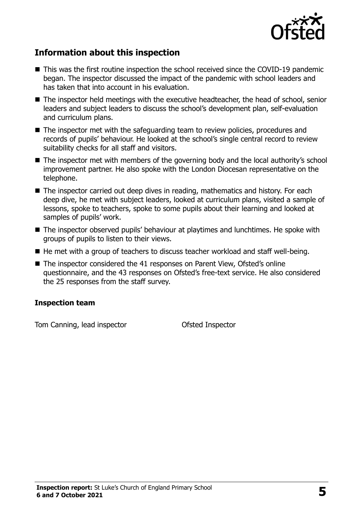

## **Information about this inspection**

- This was the first routine inspection the school received since the COVID-19 pandemic began. The inspector discussed the impact of the pandemic with school leaders and has taken that into account in his evaluation.
- The inspector held meetings with the executive headteacher, the head of school, senior leaders and subject leaders to discuss the school's development plan, self-evaluation and curriculum plans.
- The inspector met with the safeguarding team to review policies, procedures and records of pupils' behaviour. He looked at the school's single central record to review suitability checks for all staff and visitors.
- The inspector met with members of the governing body and the local authority's school improvement partner. He also spoke with the London Diocesan representative on the telephone.
- The inspector carried out deep dives in reading, mathematics and history. For each deep dive, he met with subject leaders, looked at curriculum plans, visited a sample of lessons, spoke to teachers, spoke to some pupils about their learning and looked at samples of pupils' work.
- The inspector observed pupils' behaviour at playtimes and lunchtimes. He spoke with groups of pupils to listen to their views.
- He met with a group of teachers to discuss teacher workload and staff well-being.
- The inspector considered the 41 responses on Parent View, Ofsted's online questionnaire, and the 43 responses on Ofsted's free-text service. He also considered the 25 responses from the staff survey.

#### **Inspection team**

Tom Canning, lead inspector **Canning**, lead inspector